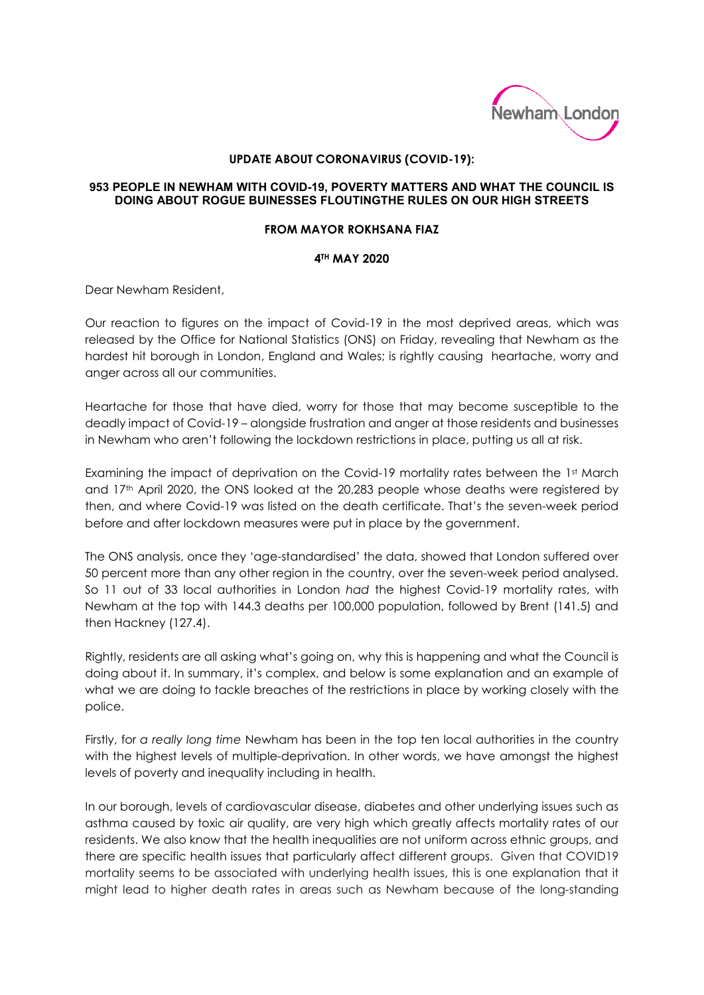

## **UPDATE ABOUT CORONAVIRUS (COVID-19):**

## **953 PEOPLE IN NEWHAM WITH COVID-19, POVERTY MATTERS AND WHAT THE COUNCIL IS DOING ABOUT ROGUE BUINESSES FLOUTINGTHE RULES ON OUR HIGH STREETS**

## **FROM MAYOR ROKHSANA FIAZ**

## **4TH MAY 2020**

Dear Newham Resident,

Our reaction to figures on the impact of Covid-19 in the most deprived areas, which was released by the Office for National Statistics (ONS) on Friday, revealing that Newham as the hardest hit borough in London, England and Wales; is rightly causing heartache, worry and anger across all our communities.

Heartache for those that have died, worry for those that may become susceptible to the deadly impact of Covid-19 – alongside frustration and anger at those residents and businesses in Newham who aren't following the lockdown restrictions in place, putting us all at risk.

Examining the impact of deprivation on the Covid-19 mortality rates between the 1st March and 17th April 2020, the ONS looked at the 20,283 people whose deaths were registered by then, and where Covid-19 was listed on the death certificate. That's the seven-week period before and after lockdown measures were put in place by the government.

The ONS analysis, once they 'age-standardised' the data, showed that London suffered over 50 percent more than any other region in the country, over the seven-week period analysed. So 11 out of 33 local authorities in London *had* the highest Covid-19 mortality rates, with Newham at the top with 144.3 deaths per 100,000 population, followed by Brent (141.5) and then Hackney (127.4).

Rightly, residents are all asking what's going on, why this is happening and what the Council is doing about it. In summary, it's complex, and below is some explanation and an example of what we are doing to tackle breaches of the restrictions in place by working closely with the police.

Firstly, for *a really long time* Newham has been in the top ten local authorities in the country with the highest levels of multiple-deprivation. In other words, we have amongst the highest levels of poverty and inequality including in health.

In our borough, levels of cardiovascular disease, diabetes and other underlying issues such as asthma caused by toxic air quality, are very high which greatly affects mortality rates of our residents. We also know that the health inequalities are not uniform across ethnic groups, and there are specific health issues that particularly affect different groups. Given that COVID19 mortality seems to be associated with underlying health issues, this is one explanation that it might lead to higher death rates in areas such as Newham because of the long-standing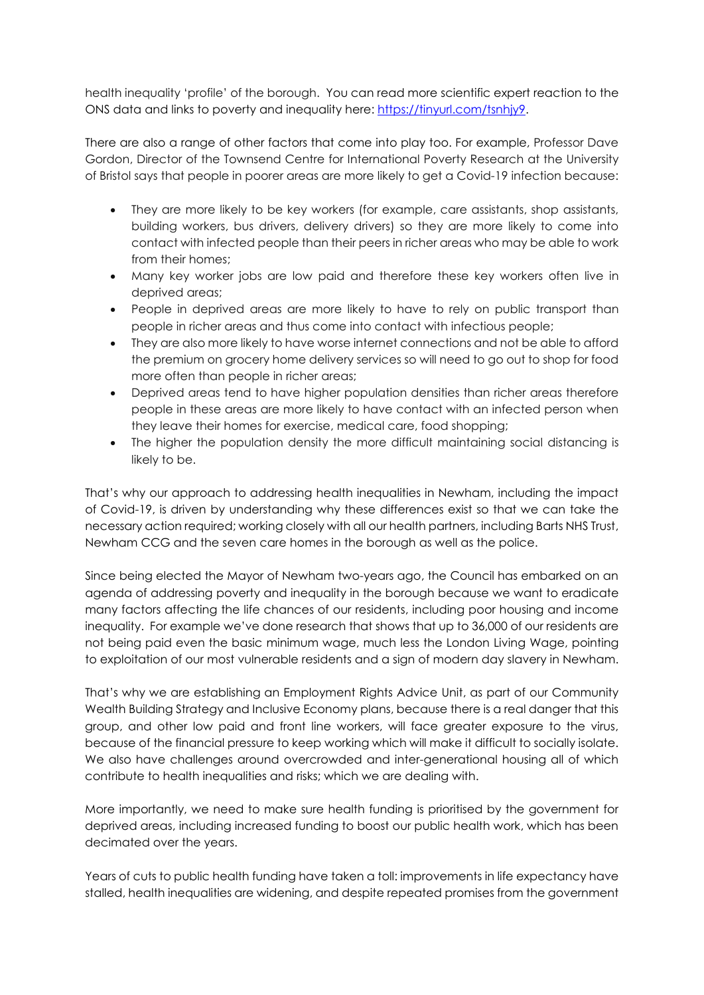health inequality 'profile' of the borough. You can read more scientific expert reaction to the ONS data and links to poverty and inequality here: [https://tinyurl.com/tsnhjy9.](https://tinyurl.com/tsnhjy9)

There are also a range of other factors that come into play too. For example, Professor Dave Gordon, Director of the Townsend Centre for International Poverty Research at the University of Bristol says that people in poorer areas are more likely to get a Covid-19 infection because:

- They are more likely to be key workers (for example, care assistants, shop assistants, building workers, bus drivers, delivery drivers) so they are more likely to come into contact with infected people than their peers in richer areas who may be able to work from their homes;
- Many key worker jobs are low paid and therefore these key workers often live in deprived areas;
- People in deprived areas are more likely to have to rely on public transport than people in richer areas and thus come into contact with infectious people;
- They are also more likely to have worse internet connections and not be able to afford the premium on grocery home delivery services so will need to go out to shop for food more often than people in richer areas;
- Deprived areas tend to have higher population densities than richer areas therefore people in these areas are more likely to have contact with an infected person when they leave their homes for exercise, medical care, food shopping;
- The higher the population density the more difficult maintaining social distancing is likely to be.

That's why our approach to addressing health inequalities in Newham, including the impact of Covid-19, is driven by understanding why these differences exist so that we can take the necessary action required; working closely with all our health partners, including Barts NHS Trust, Newham CCG and the seven care homes in the borough as well as the police.

Since being elected the Mayor of Newham two-years ago, the Council has embarked on an agenda of addressing poverty and inequality in the borough because we want to eradicate many factors affecting the life chances of our residents, including poor housing and income inequality. For example we've done research that shows that up to 36,000 of our residents are not being paid even the basic minimum wage, much less the London Living Wage, pointing to exploitation of our most vulnerable residents and a sign of modern day slavery in Newham.

That's why we are establishing an Employment Rights Advice Unit, as part of our Community Wealth Building Strategy and Inclusive Economy plans, because there is a real danger that this group, and other low paid and front line workers, will face greater exposure to the virus, because of the financial pressure to keep working which will make it difficult to socially isolate. We also have challenges around overcrowded and inter-generational housing all of which contribute to health inequalities and risks; which we are dealing with.

More importantly, we need to make sure health funding is prioritised by the government for deprived areas, including increased funding to boost our public health work, which has been decimated over the years.

Years of cuts to public health funding have taken a toll: improvements in life expectancy have stalled, health inequalities are widening, and despite repeated promises from the government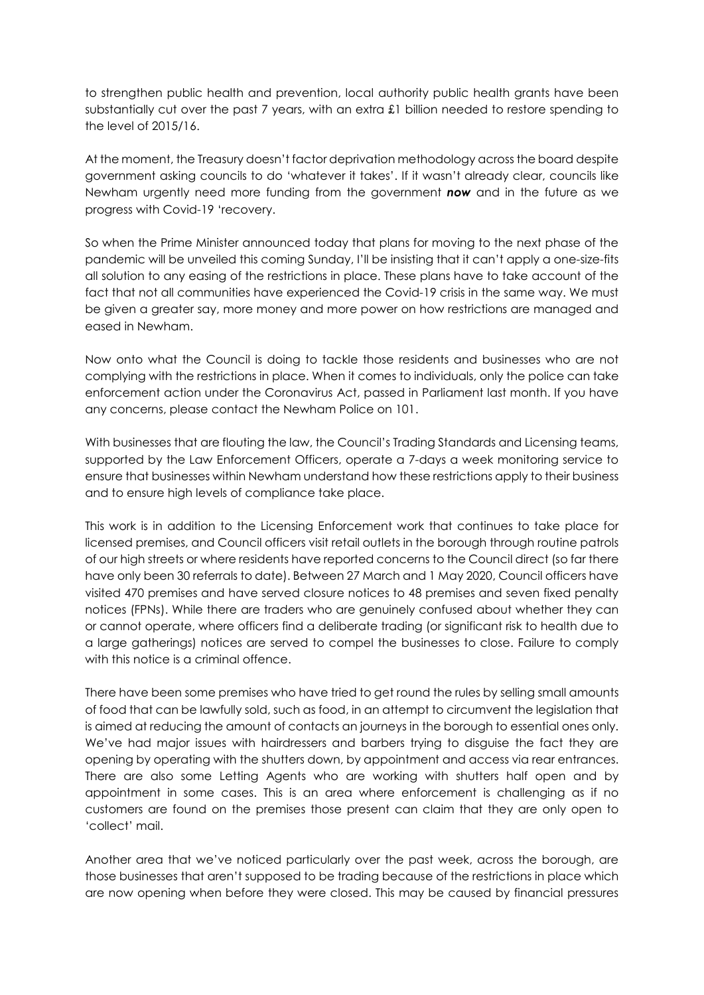to strengthen public health and prevention, local authority public health grants have been substantially cut over the past 7 years, with an extra £1 billion needed to restore spending to the level of 2015/16.

At the moment, the Treasury doesn't factor deprivation methodology across the board despite government asking councils to do 'whatever it takes'. If it wasn't already clear, councils like Newham urgently need more funding from the government *now* and in the future as we progress with Covid-19 'recovery.

So when the Prime Minister announced today that plans for moving to the next phase of the pandemic will be unveiled this coming Sunday, I'll be insisting that it can't apply a one-size-fits all solution to any easing of the restrictions in place. These plans have to take account of the fact that not all communities have experienced the Covid-19 crisis in the same way. We must be given a greater say, more money and more power on how restrictions are managed and eased in Newham.

Now onto what the Council is doing to tackle those residents and businesses who are not complying with the restrictions in place. When it comes to individuals, only the police can take enforcement action under the Coronavirus Act, passed in Parliament last month. If you have any concerns, please contact the Newham Police on 101.

With businesses that are flouting the law, the Council's Trading Standards and Licensing teams, supported by the Law Enforcement Officers, operate a 7-days a week monitoring service to ensure that businesses within Newham understand how these restrictions apply to their business and to ensure high levels of compliance take place.

This work is in addition to the Licensing Enforcement work that continues to take place for licensed premises, and Council officers visit retail outlets in the borough through routine patrols of our high streets or where residents have reported concerns to the Council direct (so far there have only been 30 referrals to date). Between 27 March and 1 May 2020, Council officers have visited 470 premises and have served closure notices to 48 premises and seven fixed penalty notices (FPNs). While there are traders who are genuinely confused about whether they can or cannot operate, where officers find a deliberate trading (or significant risk to health due to a large gatherings) notices are served to compel the businesses to close. Failure to comply with this notice is a criminal offence.

There have been some premises who have tried to get round the rules by selling small amounts of food that can be lawfully sold, such as food, in an attempt to circumvent the legislation that is aimed at reducing the amount of contacts an journeys in the borough to essential ones only. We've had major issues with hairdressers and barbers trying to disguise the fact they are opening by operating with the shutters down, by appointment and access via rear entrances. There are also some Letting Agents who are working with shutters half open and by appointment in some cases. This is an area where enforcement is challenging as if no customers are found on the premises those present can claim that they are only open to 'collect' mail.

Another area that we've noticed particularly over the past week, across the borough, are those businesses that aren't supposed to be trading because of the restrictions in place which are now opening when before they were closed. This may be caused by financial pressures